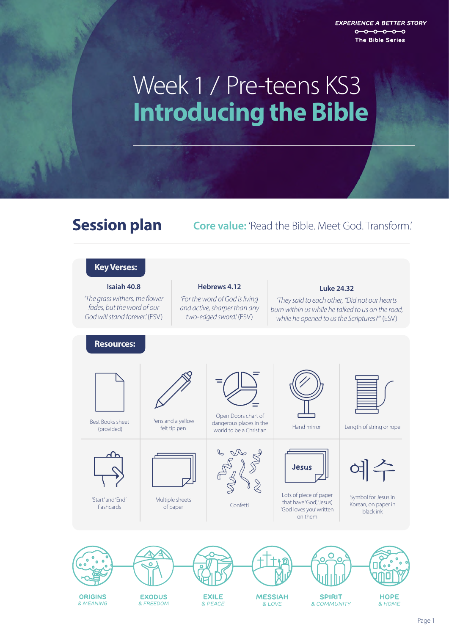**EXPERIENCE A BETTER STORY**  $0 - 0 - 0 - 0 - 0$ The Bible Series

# **Introducing the Bible** Week 1 / Pre-teens KS3

### **Session plan Core value:** 'Read the Bible. Meet God. Transform.'

### **Key Verses:**

**Isaiah 40.8** *'The grass withers, the flower fades, but the word of our God will stand forever.'* (ESV)

#### **Hebrews 4.12**

*'For the word of God is living and active, sharper than any two-edged sword.'* (ESV)

#### **Luke 24.32**

*'They said to each other, "Did not our hearts burn within us while he talked to us on the road, while he opened to us the Scriptures?"'* (ESV)

#### **Resources:**



Best Books sheet (provided)



'Start' and 'End' flashcards



Pens and a yellow felt tip pen

Multiple sheets



Open Doors chart of dangerous places in the world to be a Christian



of paper and confetting confections of paper



Lots of piece of paper that have 'God', 'Jesus', 'God loves you' written on them

Jesus



Hand mirror Length of string or rope



Symbol for Jesus in Korean, on paper in black ink

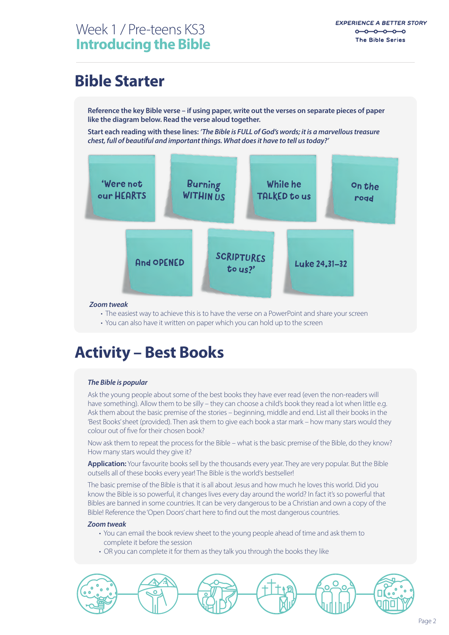## **Bible Starter**

**Reference the key Bible verse – if using paper, write out the verses on separate pieces of paper like the diagram below. Read the verse aloud together.**

**Start each reading with these lines:** *'The Bible is FULL of God's words; it is a marvellous treasure chest, full of beautiful and important things. What does it have to tell us today?'*



#### *Zoom tweak*

- The easiest way to achieve this is to have the verse on a PowerPoint and share your screen
- You can also have it written on paper which you can hold up to the screen

### **Activity – Best Books**

#### *The Bible is popular*

Ask the young people about some of the best books they have ever read (even the non-readers will have something). Allow them to be silly – they can choose a child's book they read a lot when little e.g. Ask them about the basic premise of the stories – beginning, middle and end. List all their books in the 'Best Books' sheet (provided). Then ask them to give each book a star mark – how many stars would they colour out of five for their chosen book?

Now ask them to repeat the process for the Bible – what is the basic premise of the Bible, do they know? How many stars would they give it?

**Application:** Your favourite books sell by the thousands every year. They are very popular. But the Bible outsells all of these books every year! The Bible is the world's bestseller!

The basic premise of the Bible is that it is all about Jesus and how much he loves this world. Did you know the Bible is so powerful, it changes lives every day around the world? In fact it's so powerful that Bibles are banned in some countries. It can be very dangerous to be a Christian and own a copy of the Bible! Reference the 'Open Doors' chart here to find out the most dangerous countries.

#### *Zoom tweak*

- You can email the book review sheet to the young people ahead of time and ask them to complete it before the session
- OR you can complete it for them as they talk you through the books they like

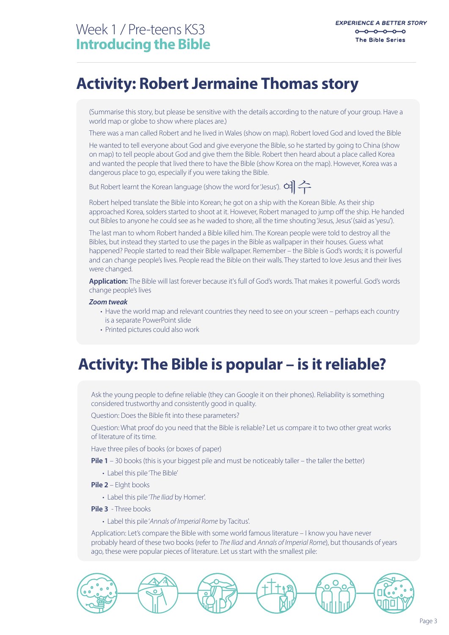### **Activity: Robert Jermaine Thomas story**

(Summarise this story, but please be sensitive with the details according to the nature of your group. Have a world map or globe to show where places are.)

There was a man called Robert and he lived in Wales (show on map). Robert loved God and loved the Bible

He wanted to tell everyone about God and give everyone the Bible, so he started by going to China (show on map) to tell people about God and give them the Bible. Robert then heard about a place called Korea and wanted the people that lived there to have the Bible (show Korea on the map). However, Korea was a dangerous place to go, especially if you were taking the Bible.

But Robert learnt the Korean language (show the word for 'Jesus').  $\alpha$ 

Robert helped translate the Bible into Korean; he got on a ship with the Korean Bible. As their ship approached Korea, solders started to shoot at it. However, Robert managed to jump off the ship. He handed out Bibles to anyone he could see as he waded to shore, all the time shouting 'Jesus, Jesus' (said as 'yesu').

The last man to whom Robert handed a Bible killed him. The Korean people were told to destroy all the Bibles, but instead they started to use the pages in the Bible as wallpaper in their houses. Guess what happened? People started to read their Bible wallpaper. Remember – the Bible is God's words; it is powerful and can change people's lives. People read the Bible on their walls. They started to love Jesus and their lives were changed.

**Application:** The Bible will last forever because it's full of God's words. That makes it powerful. God's words change people's lives

#### *Zoom tweak*

- Have the world map and relevant countries they need to see on your screen perhaps each country is a separate PowerPoint slide
- Printed pictures could also work

### **Activity: The Bible is popular – is it reliable?**

Ask the young people to define reliable (they can Google it on their phones). Reliability is something considered trustworthy and consistently good in quality.

Question: Does the Bible fit into these parameters?

Question: What proof do you need that the Bible is reliable? Let us compare it to two other great works of literature of its time.

Have three piles of books (or boxes of paper)

- **Pile 1** 30 books (this is your biggest pile and must be noticeably taller the taller the better)
	- Label this pile 'The Bible'
- **Pile 2** EIght books
	- Label this pile '*The Iliad* by Homer'.
- **Pile 3** Three books
	- Label this pile '*Annals of Imperial Rome* by Tacitus'.

Application: Let's compare the Bible with some world famous literature – I know you have never probably heard of these two books (refer to *The Iliad* and *Annals of Imperial Rome*), but thousands of years ago, these were popular pieces of literature. Let us start with the smallest pile:

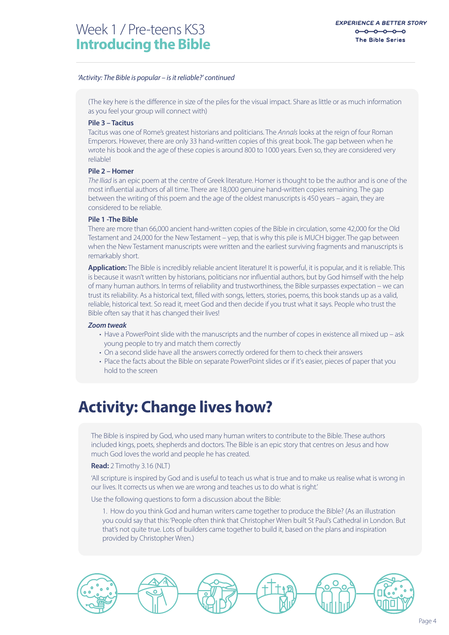#### *'Activity: The Bible is popular – is it reliable?' continued*

(The key here is the difference in size of the piles for the visual impact. Share as little or as much information as you feel your group will connect with)

#### **Pile 3 – Tacitus**

Tacitus was one of Rome's greatest historians and politicians. The *Annals* looks at the reign of four Roman Emperors. However, there are only 33 hand-written copies of this great book. The gap between when he wrote his book and the age of these copies is around 800 to 1000 years. Even so, they are considered very reliable!

#### **Pile 2 – Homer**

*The Iliad* is an epic poem at the centre of Greek literature. Homer is thought to be the author and is one of the most influential authors of all time. There are 18,000 genuine hand-written copies remaining. The gap between the writing of this poem and the age of the oldest manuscripts is 450 years – again, they are considered to be reliable.

#### **Pile 1 -The Bible**

There are more than 66,000 ancient hand-written copies of the Bible in circulation, some 42,000 for the Old Testament and 24,000 for the New Testament – yep, that is why this pile is MUCH bigger. The gap between when the New Testament manuscripts were written and the earliest surviving fragments and manuscripts is remarkably short.

**Application:** The Bible is incredibly reliable ancient literature! It is powerful, it is popular, and it is reliable. This is because it wasn't written by historians, politicians nor influential authors, but by God himself with the help of many human authors. In terms of reliability and trustworthiness, the Bible surpasses expectation – we can trust its reliability. As a historical text, filled with songs, letters, stories, poems, this book stands up as a valid, reliable, historical text. So read it, meet God and then decide if you trust what it says. People who trust the Bible often say that it has changed their lives!

#### *Zoom tweak*

- Have a PowerPoint slide with the manuscripts and the number of copes in existence all mixed up ask young people to try and match them correctly
- On a second slide have all the answers correctly ordered for them to check their answers
- Place the facts about the Bible on separate PowerPoint slides or if it's easier, pieces of paper that you hold to the screen

### **Activity: Change lives how?**

The Bible is inspired by God, who used many human writers to contribute to the Bible. These authors included kings, poets, shepherds and doctors. The Bible is an epic story that centres on Jesus and how much God loves the world and people he has created.

#### **Read:** 2 Timothy 3.16 (NLT)

'All scripture is inspired by God and is useful to teach us what is true and to make us realise what is wrong in our lives. It corrects us when we are wrong and teaches us to do what is right.'

Use the following questions to form a discussion about the Bible:

1. How do you think God and human writers came together to produce the Bible? (As an illustration you could say that this: 'People often think that Christopher Wren built St Paul's Cathedral in London. But that's not quite true. Lots of builders came together to build it, based on the plans and inspiration provided by Christopher Wren.)

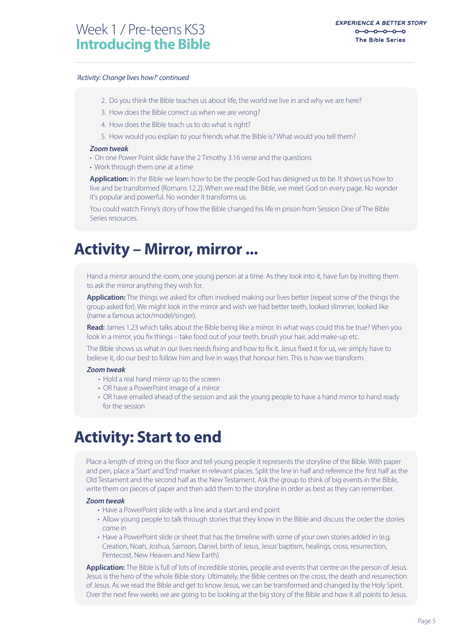#### *'Activity: Change lives how?' continued*

- 2. Do you think the Bible teaches us about life, the world we live in and why we are here?
- 3. How does the Bible correct us when we are wrong?
- 4. How does the Bible teach us to do what is right?
- 5. How would you explain to your friends what the Bible is? What would you tell them?

#### *Zoom tweak*

- On one Power Point slide have the 2 Timothy 3.16 verse and the questions
- Work through them one at a time

**Application:** In the Bible we learn how to be the people God has designed us to be. It shows us how to live and be transformed (Romans 12.2). When we read the Bible, we meet God on every page. No wonder it's popular and powerful. No wonder it transforms us.

You could watch Finny's story of how the Bible changed his life in prison from Session One of The Bible Series resources.

### **Activity – Mirror, mirror ...**

Hand a mirror around the room, one young person at a time. As they look into it, have fun by inviting them to ask the mirror anything they wish for.

**Application:** The things we asked for often involved making our lives better (repeat some of the things the group asked for). We might look in the mirror and wish we had better teeth, looked slimmer, looked like (name a famous actor/model/singer).

**Read:** James 1.23 which talks about the Bible being like a mirror. In what ways could this be true? When you look in a mirror, you fix things – take food out of your teeth, brush your hair, add make-up etc.

The Bible shows us what in our lives needs fixing and how to fix it. Jesus fixed it for us, we simply have to believe it, do our best to follow him and live in ways that honour him. This is how we transform.

#### *Zoom tweak*

- Hold a real hand mirror up to the screen
- OR have a PowerPoint image of a mirror
- OR have emailed ahead of the session and ask the young people to have a hand mirror to hand ready for the session

### **Activity: Start to end**

Place a length of string on the floor and tell young people it represents the storyline of the Bible. With paper and pen, place a 'Start' and 'End' marker in relevant places. Split the line in half and reference the first half as the Old Testament and the second half as the New Testament. Ask the group to think of big events in the Bible, write them on pieces of paper and then add them to the storyline in order as best as they can remember.

#### *Zoom tweak*

- Have a PowerPoint slide with a line and a start and end point
- Allow young people to talk through stories that they know in the Bible and discuss the order the stories come in
- Have a PowerPoint slide or sheet that has the timeline with some of your own stories added in (e.g. Creation, Noah, Joshua, Samson, Daniel, birth of Jesus, Jesus' baptism, healings, cross, resurrection, Pentecost, New Heaven and New Earth)

**Application:** The Bible is full of lots of incredible stories, people and events that centre on the person of Jesus. Jesus is the hero of the whole Bible story. Ultimately, the Bible centres on the cross, the death and resurrection of Jesus. As we read the Bible and get to know Jesus, we can be transformed and changed by the Holy Spirit. Over the next few weeks we are going to be looking at the big story of the Bible and how it all points to Jesus.